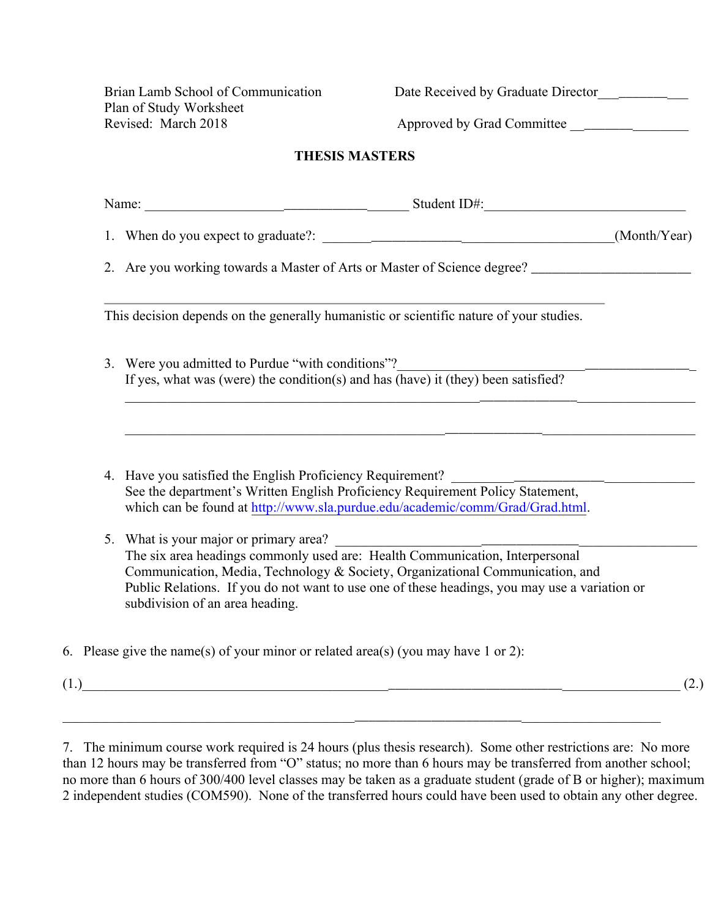Plan of Study Worksheet

Brian Lamb School of Communication Date Received by Graduate Director

Revised: March 2018 Approved by Grad Committee \_\_\_\_\_\_\_\_\_\_\_\_\_\_\_\_\_\_\_\_\_\_\_\_\_\_\_\_\_\_\_\_\_

## **THESIS MASTERS**

| Name: Name: Name: Name: Name: Name: Name: Name: Name: Name: Name: Name: Name: Name: Name: Name: Name: Name: Name: Name: Name: Name: Name: Name: Name: Name: Name: Name: Name: Name: Name: Name: Name: Name: Name: Name: Name:                                                                     |  |
|---------------------------------------------------------------------------------------------------------------------------------------------------------------------------------------------------------------------------------------------------------------------------------------------------|--|
|                                                                                                                                                                                                                                                                                                   |  |
|                                                                                                                                                                                                                                                                                                   |  |
| This decision depends on the generally humanistic or scientific nature of your studies.                                                                                                                                                                                                           |  |
| 3. Were you admitted to Purdue "with conditions"?<br>If yes, what was (were) the condition(s) and has (have) it (they) been satisfied?                                                                                                                                                            |  |
| <u> 1989 - Jan James James James James James James James James James James James James James James James James Ja</u>                                                                                                                                                                             |  |
| <u> 1989 - Andrea Stadt Stadt Stadt Stadt Stadt Stadt Stadt Stadt Stadt Stadt Stadt Stadt Stadt Stadt Stadt Stadt Stadt Stadt Stadt Stadt Stadt Stadt Stadt Stadt Stadt Stadt Stadt Stadt Stadt Stadt Stadt Stadt Stadt Stadt St</u>                                                              |  |
| 4. Have you satisfied the English Proficiency Requirement? ______________________<br>See the department's Written English Proficiency Requirement Policy Statement,<br>which can be found at http://www.sla.purdue.edu/academic/comm/Grad/Grad.html.                                              |  |
| 5. What is your major or primary area?                                                                                                                                                                                                                                                            |  |
| The six area headings commonly used are: Health Communication, Interpersonal<br>Communication, Media, Technology & Society, Organizational Communication, and<br>Public Relations. If you do not want to use one of these headings, you may use a variation or<br>subdivision of an area heading. |  |
| 6. Please give the name(s) of your minor or related area(s) (you may have 1 or 2):                                                                                                                                                                                                                |  |

7. The minimum course work required is 24 hours (plus thesis research). Some other restrictions are: No more than 12 hours may be transferred from "O" status; no more than 6 hours may be transferred from another school; no more than 6 hours of 300/400 level classes may be taken as a graduate student (grade of B or higher); maximum 2 independent studies (COM590). None of the transferred hours could have been used to obtain any other degree.

\_\_\_\_\_\_\_\_\_\_\_\_\_\_\_\_\_\_\_\_\_\_\_\_\_\_\_\_\_\_\_\_\_\_\_\_\_\_\_\_\_\_\_\_\_\_\_\_\_\_\_\_\_\_\_\_\_\_\_\_\_\_\_\_\_\_\_\_\_\_\_\_\_\_\_\_\_\_\_\_\_\_\_\_\_\_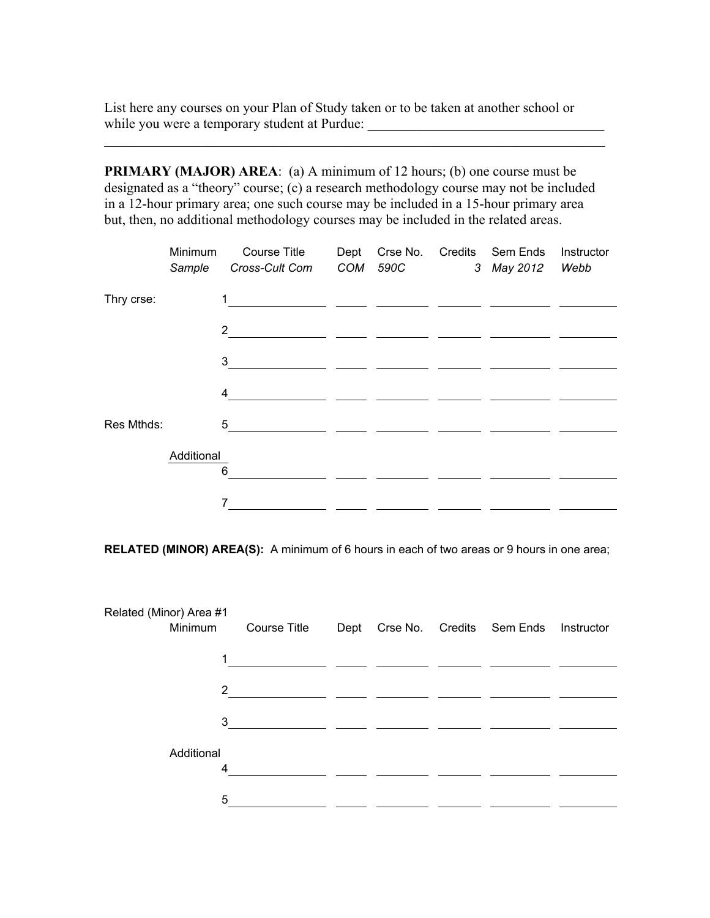List here any courses on your Plan of Study taken or to be taken at another school or while you were a temporary student at Purdue:

**PRIMARY (MAJOR) AREA:** (a) A minimum of 12 hours; (b) one course must be designated as a "theory" course; (c) a research methodology course may not be included in a 12-hour primary area; one such course may be included in a 15-hour primary area but, then, no additional methodology courses may be included in the related areas.

 $\mathcal{L}_\text{max}$  , and the contribution of the contribution of the contribution of the contribution of the contribution of the contribution of the contribution of the contribution of the contribution of the contribution of t

|            | Minimum<br>Sample | Course Title<br>Cross-Cult Com | Dept<br>COM | Crse No.<br>590C | Credits | Sem Ends<br>3 May 2012 | Instructor<br>Webb |
|------------|-------------------|--------------------------------|-------------|------------------|---------|------------------------|--------------------|
| Thry crse: |                   |                                |             |                  |         |                        |                    |
|            |                   | $\overline{2}$                 |             |                  |         |                        |                    |
|            |                   | 3                              |             |                  |         |                        |                    |
|            |                   | 4                              |             |                  |         |                        |                    |
| Res Mthds: |                   | 5                              |             |                  |         |                        |                    |
|            | Additional        | 6                              |             |                  |         |                        |                    |
|            |                   | 7                              |             |                  |         |                        |                    |

**RELATED (MINOR) AREA(S):** A minimum of 6 hours in each of two areas or 9 hours in one area;

| Related (Minor) Area #1 | Minimum         | <b>Course Title</b> | Dept |  | Crse No. Credits Sem Ends | Instructor |
|-------------------------|-----------------|---------------------|------|--|---------------------------|------------|
|                         | 1               |                     |      |  |                           |            |
|                         | $\overline{2}$  |                     |      |  |                           |            |
|                         | 3               |                     |      |  |                           |            |
|                         | Additional<br>4 |                     |      |  |                           |            |
|                         | 5               |                     |      |  |                           |            |